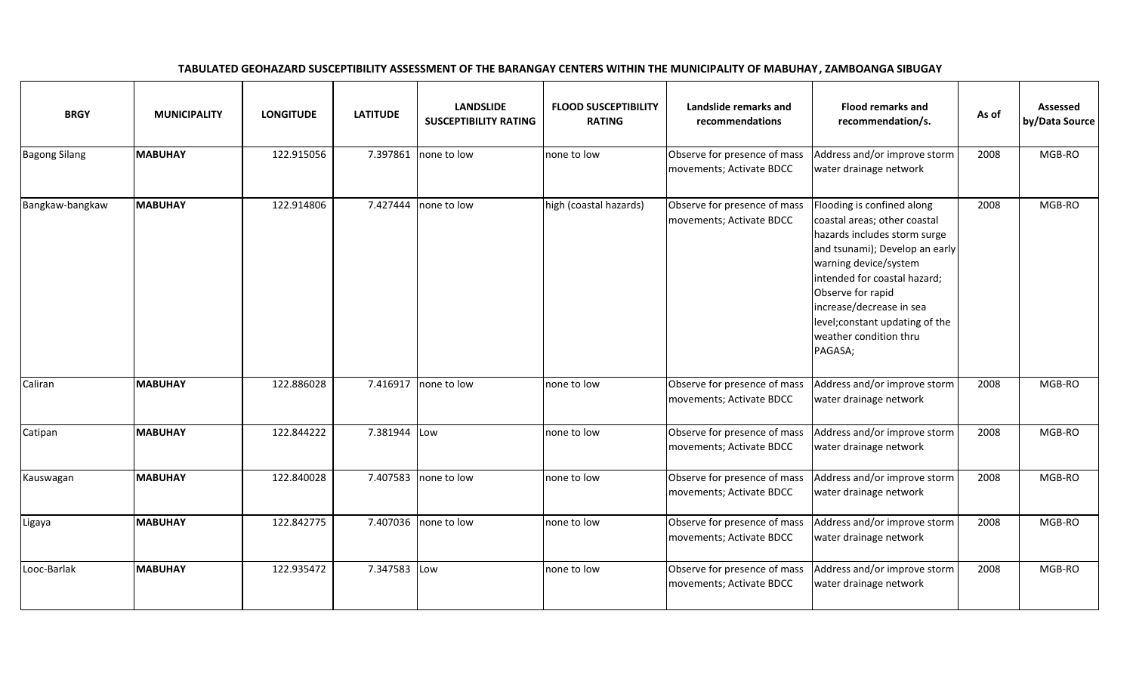| <b>BRGY</b>          | <b>MUNICIPALITY</b> | <b>LONGITUDE</b> | <b>LATITUDE</b> | <b>LANDSLIDE</b><br><b>SUSCEPTIBILITY RATING</b> | <b>FLOOD SUSCEPTIBILITY</b><br><b>RATING</b> | Landslide remarks and<br>recommendations                 | <b>Flood remarks and</b><br>recommendation/s.                                                                                                                                                                                                                                                                  | As of | Assessed<br>by/Data Source |
|----------------------|---------------------|------------------|-----------------|--------------------------------------------------|----------------------------------------------|----------------------------------------------------------|----------------------------------------------------------------------------------------------------------------------------------------------------------------------------------------------------------------------------------------------------------------------------------------------------------------|-------|----------------------------|
| <b>Bagong Silang</b> | <b>MABUHAY</b>      | 122.915056       | 7.397861        | none to low                                      | none to low                                  | Observe for presence of mass<br>movements; Activate BDCC | Address and/or improve storm<br>water drainage network                                                                                                                                                                                                                                                         | 2008  | MGB-RO                     |
| Bangkaw-bangkaw      | <b>MABUHAY</b>      | 122.914806       | 7.427444        | none to low                                      | high (coastal hazards)                       | Observe for presence of mass<br>movements; Activate BDCC | Flooding is confined along<br>coastal areas; other coastal<br>hazards includes storm surge<br>and tsunami); Develop an early<br>warning device/system<br>intended for coastal hazard;<br>Observe for rapid<br>increase/decrease in sea<br>level; constant updating of the<br>weather condition thru<br>PAGASA; | 2008  | MGB-RO                     |
| Caliran              | <b>MABUHAY</b>      | 122.886028       | 7.416917        | none to low                                      | none to low                                  | Observe for presence of mass<br>movements; Activate BDCC | Address and/or improve storm<br>water drainage network                                                                                                                                                                                                                                                         | 2008  | MGB-RO                     |
| Catipan              | <b>MABUHAY</b>      | 122.844222       | 7.381944 Low    |                                                  | none to low                                  | Observe for presence of mass<br>movements; Activate BDCC | Address and/or improve storm<br>water drainage network                                                                                                                                                                                                                                                         | 2008  | MGB-RO                     |
| Kauswagan            | <b>MABUHAY</b>      | 122.840028       | 7.407583        | none to low                                      | none to low                                  | Observe for presence of mass<br>movements; Activate BDCC | Address and/or improve storm<br>water drainage network                                                                                                                                                                                                                                                         | 2008  | MGB-RO                     |
| Ligaya               | <b>MABUHAY</b>      | 122.842775       |                 | 7.407036 none to low                             | none to low                                  | Observe for presence of mass<br>movements; Activate BDCC | Address and/or improve storm<br>water drainage network                                                                                                                                                                                                                                                         | 2008  | MGB-RO                     |
| Looc-Barlak          | <b>MABUHAY</b>      | 122.935472       | 7.347583 Low    |                                                  | none to low                                  | Observe for presence of mass<br>movements; Activate BDCC | Address and/or improve storm<br>water drainage network                                                                                                                                                                                                                                                         | 2008  | MGB-RO                     |

## TABULATED GEOHAZARD SUSCEPTIBILITY ASSESSMENT OF THE BARANGAY CENTERS WITHIN THE MUNICIPALITY OF MABUHAY, ZAMBOANGA SIBUGAY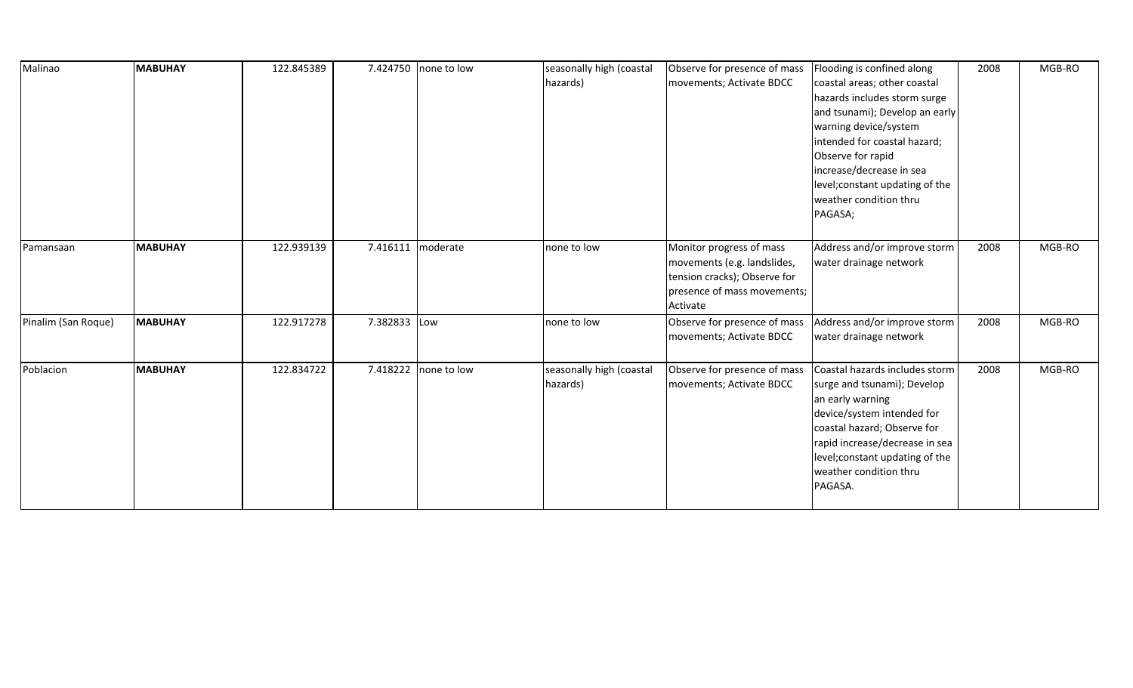| Malinao             | <b>MABUHAY</b> | 122.845389 | 7.424750 | none to low | seasonally high (coastal<br>hazards) | Observe for presence of mass<br>movements; Activate BDCC                                                                           | Flooding is confined along<br>coastal areas; other coastal<br>hazards includes storm surge<br>and tsunami); Develop an early<br>warning device/system<br>intended for coastal hazard;<br>Observe for rapid<br>increase/decrease in sea<br>level; constant updating of the<br>weather condition thru<br>PAGASA; | 2008 | MGB-RO |
|---------------------|----------------|------------|----------|-------------|--------------------------------------|------------------------------------------------------------------------------------------------------------------------------------|----------------------------------------------------------------------------------------------------------------------------------------------------------------------------------------------------------------------------------------------------------------------------------------------------------------|------|--------|
| Pamansaan           | <b>MABUHAY</b> | 122.939139 | 7.416111 | moderate    | none to low                          | Monitor progress of mass<br>movements (e.g. landslides,<br>tension cracks); Observe for<br>presence of mass movements;<br>Activate | Address and/or improve storm<br>water drainage network                                                                                                                                                                                                                                                         | 2008 | MGB-RO |
| Pinalim (San Roque) | <b>MABUHAY</b> | 122.917278 | 7.382833 | Low         | none to low                          | Observe for presence of mass<br>movements; Activate BDCC                                                                           | Address and/or improve storm<br>water drainage network                                                                                                                                                                                                                                                         | 2008 | MGB-RO |
| Poblacion           | <b>MABUHAY</b> | 122.834722 | 7.418222 | none to low | seasonally high (coastal<br>hazards) | Observe for presence of mass<br>movements; Activate BDCC                                                                           | Coastal hazards includes storm<br>surge and tsunami); Develop<br>an early warning<br>device/system intended for<br>coastal hazard; Observe for<br>rapid increase/decrease in sea<br>level; constant updating of the<br>weather condition thru<br>PAGASA.                                                       | 2008 | MGB-RO |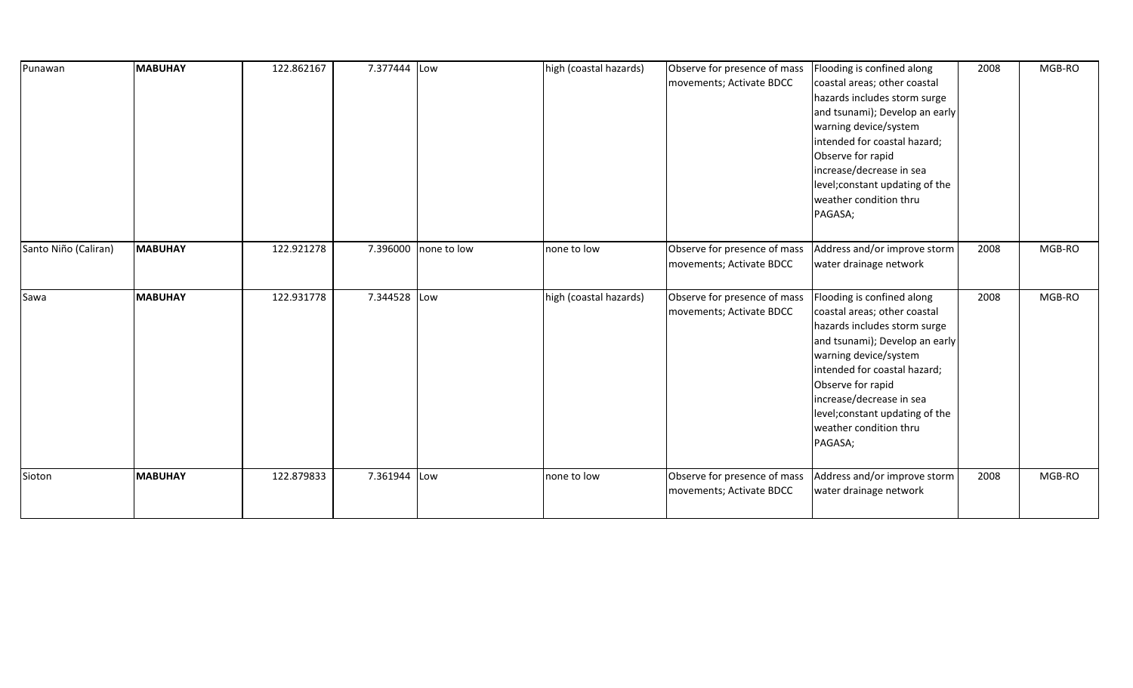| Punawan              | <b>MABUHAY</b> | 122.862167 | 7.377444 Low |                      | high (coastal hazards) | Observe for presence of mass<br>movements; Activate BDCC | Flooding is confined along<br>coastal areas; other coastal<br>hazards includes storm surge<br>and tsunami); Develop an early<br>warning device/system<br>intended for coastal hazard;<br>Observe for rapid<br>increase/decrease in sea<br>level; constant updating of the<br>weather condition thru<br>PAGASA; | 2008 | MGB-RO |
|----------------------|----------------|------------|--------------|----------------------|------------------------|----------------------------------------------------------|----------------------------------------------------------------------------------------------------------------------------------------------------------------------------------------------------------------------------------------------------------------------------------------------------------------|------|--------|
| Santo Niño (Caliran) | <b>MABUHAY</b> | 122.921278 |              | 7.396000 none to low | none to low            | Observe for presence of mass<br>movements; Activate BDCC | Address and/or improve storm<br>water drainage network                                                                                                                                                                                                                                                         | 2008 | MGB-RO |
| Sawa                 | <b>MABUHAY</b> | 122.931778 | 7.344528 Low |                      | high (coastal hazards) | Observe for presence of mass<br>movements; Activate BDCC | Flooding is confined along<br>coastal areas; other coastal<br>hazards includes storm surge<br>and tsunami); Develop an early<br>warning device/system<br>intended for coastal hazard;<br>Observe for rapid<br>increase/decrease in sea<br>level; constant updating of the<br>weather condition thru<br>PAGASA; | 2008 | MGB-RO |
| Sioton               | <b>MABUHAY</b> | 122.879833 | 7.361944 Low |                      | none to low            | Observe for presence of mass<br>movements; Activate BDCC | Address and/or improve storm<br>water drainage network                                                                                                                                                                                                                                                         | 2008 | MGB-RO |